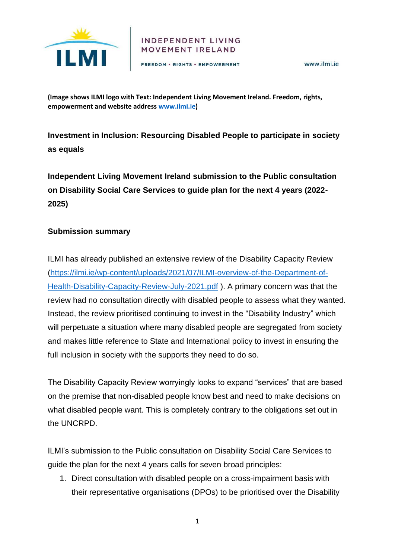

#### INDEPENDENT LIVING **MOVEMENT IRELAND**

FREEDOM · RIGHTS · EMPOWERMENT

www.ilmi.ie

**(Image shows ILMI logo with Text: Independent Living Movement Ireland. Freedom, rights, empowerment and website address [www.ilmi.ie\)](http://www.ilmi.ie/)** 

**Investment in Inclusion: Resourcing Disabled People to participate in society as equals**

**Independent Living Movement Ireland submission to the Public consultation on Disability Social Care Services to guide plan for the next 4 years (2022- 2025)**

### **Submission summary**

ILMI has already published an extensive review of the Disability Capacity Review [\(https://ilmi.ie/wp-content/uploads/2021/07/ILMI-overview-of-the-Department-of-](https://ilmi.ie/wp-content/uploads/2021/07/ILMI-overview-of-the-Department-of-Health-Disability-Capacity-Review-July-2021.pdf)[Health-Disability-Capacity-Review-July-2021.pdf](https://ilmi.ie/wp-content/uploads/2021/07/ILMI-overview-of-the-Department-of-Health-Disability-Capacity-Review-July-2021.pdf) ). A primary concern was that the review had no consultation directly with disabled people to assess what they wanted. Instead, the review prioritised continuing to invest in the "Disability Industry" which will perpetuate a situation where many disabled people are segregated from society and makes little reference to State and International policy to invest in ensuring the full inclusion in society with the supports they need to do so.

The Disability Capacity Review worryingly looks to expand "services" that are based on the premise that non-disabled people know best and need to make decisions on what disabled people want. This is completely contrary to the obligations set out in the UNCRPD.

ILMI's submission to the Public consultation on Disability Social Care Services to guide the plan for the next 4 years calls for seven broad principles:

1. Direct consultation with disabled people on a cross-impairment basis with their representative organisations (DPOs) to be prioritised over the Disability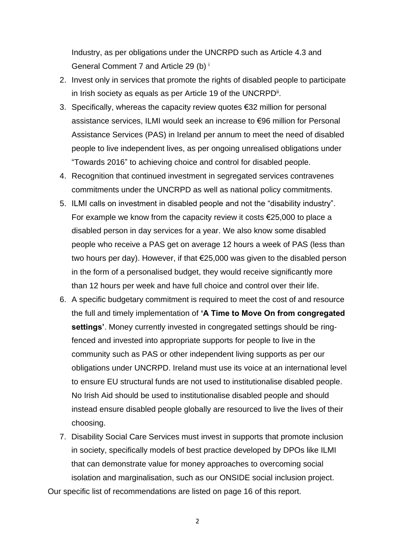Industry, as per obligations under the UNCRPD such as Article 4.3 and General Comment 7 and Article 29 (b) <sup>i</sup>

- 2. Invest only in services that promote the rights of disabled people to participate in Irish society as equals as per Article 19 of the UNCRPD<sup>ii</sup>.
- 3. Specifically, whereas the capacity review quotes €32 million for personal assistance services, ILMI would seek an increase to €96 million for Personal Assistance Services (PAS) in Ireland per annum to meet the need of disabled people to live independent lives, as per ongoing unrealised obligations under "Towards 2016" to achieving choice and control for disabled people.
- 4. Recognition that continued investment in segregated services contravenes commitments under the UNCRPD as well as national policy commitments.
- 5. ILMI calls on investment in disabled people and not the "disability industry". For example we know from the capacity review it costs €25,000 to place a disabled person in day services for a year. We also know some disabled people who receive a PAS get on average 12 hours a week of PAS (less than two hours per day). However, if that €25,000 was given to the disabled person in the form of a personalised budget, they would receive significantly more than 12 hours per week and have full choice and control over their life.
- 6. A specific budgetary commitment is required to meet the cost of and resource the full and timely implementation of **'A Time to Move On from congregated settings'**. Money currently invested in congregated settings should be ringfenced and invested into appropriate supports for people to live in the community such as PAS or other independent living supports as per our obligations under UNCRPD. Ireland must use its voice at an international level to ensure EU structural funds are not used to institutionalise disabled people. No Irish Aid should be used to institutionalise disabled people and should instead ensure disabled people globally are resourced to live the lives of their choosing.
- 7. Disability Social Care Services must invest in supports that promote inclusion in society, specifically models of best practice developed by DPOs like ILMI that can demonstrate value for money approaches to overcoming social isolation and marginalisation, such as our ONSIDE social inclusion project.

Our specific list of recommendations are listed on page 16 of this report.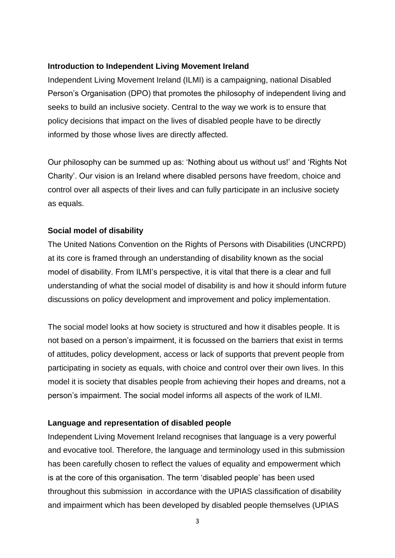### **Introduction to Independent Living Movement Ireland**

Independent Living Movement Ireland (ILMI) is a campaigning, national Disabled Person's Organisation (DPO) that promotes the philosophy of independent living and seeks to build an inclusive society. Central to the way we work is to ensure that policy decisions that impact on the lives of disabled people have to be directly informed by those whose lives are directly affected.

Our philosophy can be summed up as: 'Nothing about us without us!' and 'Rights Not Charity'. Our vision is an Ireland where disabled persons have freedom, choice and control over all aspects of their lives and can fully participate in an inclusive society as equals.

### **Social model of disability**

The United Nations Convention on the Rights of Persons with Disabilities (UNCRPD) at its core is framed through an understanding of disability known as the social model of disability. From ILMI's perspective, it is vital that there is a clear and full understanding of what the social model of disability is and how it should inform future discussions on policy development and improvement and policy implementation.

The social model looks at how society is structured and how it disables people. It is not based on a person's impairment, it is focussed on the barriers that exist in terms of attitudes, policy development, access or lack of supports that prevent people from participating in society as equals, with choice and control over their own lives. In this model it is society that disables people from achieving their hopes and dreams, not a person's impairment. The social model informs all aspects of the work of ILMI.

### **Language and representation of disabled people**

Independent Living Movement Ireland recognises that language is a very powerful and evocative tool. Therefore, the language and terminology used in this submission has been carefully chosen to reflect the values of equality and empowerment which is at the core of this organisation. The term 'disabled people' has been used throughout this submission in accordance with the UPIAS classification of disability and impairment which has been developed by disabled people themselves (UPIAS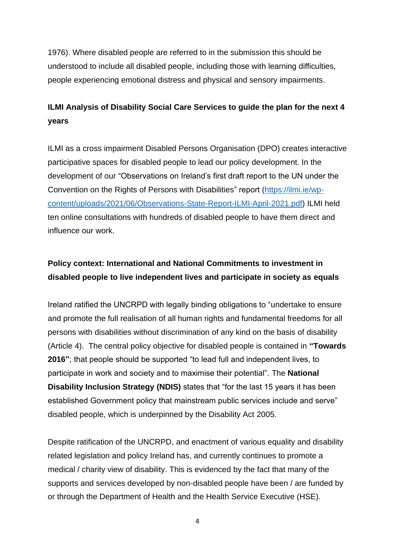1976). Where disabled people are referred to in the submission this should be understood to include all disabled people, including those with learning difficulties, people experiencing emotional distress and physical and sensory impairments.

# **ILMI Analysis of Disability Social Care Services to guide the plan for the next 4 years**

ILMI as a cross impairment Disabled Persons Organisation (DPO) creates interactive participative spaces for disabled people to lead our policy development. In the development of our "Observations on Ireland's first draft report to the UN under the Convention on the Rights of Persons with Disabilities" report ([https://ilmi.ie/wp](https://ilmi.ie/wp-content/uploads/2021/06/Observations-State-Report-ILMI-April-2021.pdf)[content/uploads/2021/06/Observations-State-Report-ILMI-April-2021.pdf\)](https://ilmi.ie/wp-content/uploads/2021/06/Observations-State-Report-ILMI-April-2021.pdf) ILMI held ten online consultations with hundreds of disabled people to have them direct and influence our work.

# **Policy context: International and National Commitments to investment in disabled people to live independent lives and participate in society as equals**

Ireland ratified the UNCRPD with legally binding obligations to "undertake to ensure and promote the full realisation of all human rights and fundamental freedoms for all persons with disabilities without discrimination of any kind on the basis of disability (Article 4). The central policy objective for disabled people is contained in **"Towards 2016"**; that people should be supported "to lead full and independent lives, to participate in work and society and to maximise their potential". The **National Disability Inclusion Strategy (NDIS)** states that "for the last 15 years it has been established Government policy that mainstream public services include and serve" disabled people, which is underpinned by the Disability Act 2005.

Despite ratification of the UNCRPD, and enactment of various equality and disability related legislation and policy Ireland has, and currently continues to promote a medical / charity view of disability. This is evidenced by the fact that many of the supports and services developed by non-disabled people have been / are funded by or through the Department of Health and the Health Service Executive (HSE).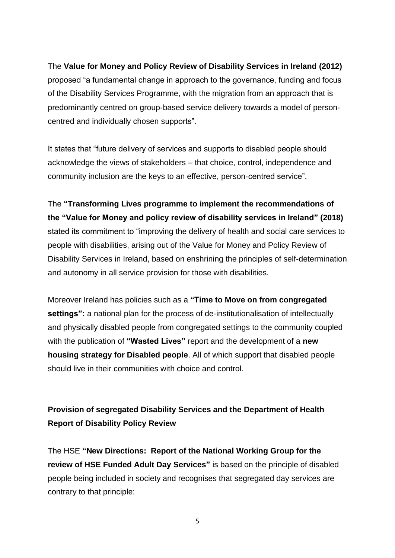## The **Value for Money and Policy Review of Disability Services in Ireland (2012)**

proposed "a fundamental change in approach to the governance, funding and focus of the Disability Services Programme, with the migration from an approach that is predominantly centred on group‐based service delivery towards a model of person‐ centred and individually chosen supports".

It states that "future delivery of services and supports to disabled people should acknowledge the views of stakeholders – that choice, control, independence and community inclusion are the keys to an effective, person‐centred service".

The **"Transforming Lives programme to implement the recommendations of the "Value for Money and policy review of disability services in Ireland" (2018)** stated its commitment to "improving the delivery of health and social care services to people with disabilities, arising out of the Value for Money and Policy Review of Disability Services in Ireland, based on enshrining the principles of self-determination and autonomy in all service provision for those with disabilities.

Moreover Ireland has policies such as a **"Time to Move on from congregated settings":** a national plan for the process of de-institutionalisation of intellectually and physically disabled people from congregated settings to the community coupled with the publication of **"Wasted Lives"** report and the development of a **new housing strategy for Disabled people**. All of which support that disabled people should live in their communities with choice and control.

# **Provision of segregated Disability Services and the Department of Health Report of Disability Policy Review**

The HSE **"New Directions: Report of the National Working Group for the review of HSE Funded Adult Day Services"** is based on the principle of disabled people being included in society and recognises that segregated day services are contrary to that principle: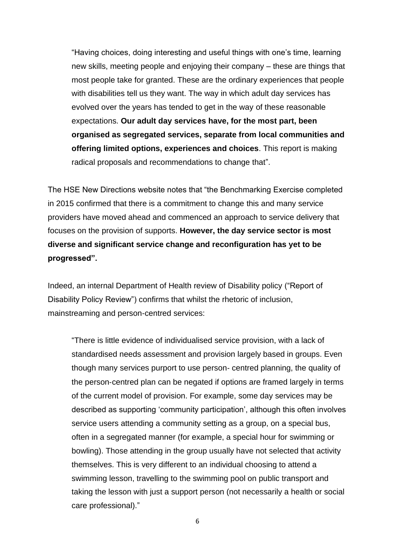"Having choices, doing interesting and useful things with one's time, learning new skills, meeting people and enjoying their company – these are things that most people take for granted. These are the ordinary experiences that people with disabilities tell us they want. The way in which adult day services has evolved over the years has tended to get in the way of these reasonable expectations. **Our adult day services have, for the most part, been organised as segregated services, separate from local communities and offering limited options, experiences and choices**. This report is making radical proposals and recommendations to change that".

The HSE New Directions website notes that "the Benchmarking Exercise completed in 2015 confirmed that there is a commitment to change this and many service providers have moved ahead and commenced an approach to service delivery that focuses on the provision of supports. **However, the day service sector is most diverse and significant service change and reconfiguration has yet to be progressed".** 

Indeed, an internal Department of Health review of Disability policy ("Report of Disability Policy Review") confirms that whilst the rhetoric of inclusion, mainstreaming and person-centred services:

"There is little evidence of individualised service provision, with a lack of standardised needs assessment and provision largely based in groups. Even though many services purport to use person‐ centred planning, the quality of the person‐centred plan can be negated if options are framed largely in terms of the current model of provision. For example, some day services may be described as supporting 'community participation', although this often involves service users attending a community setting as a group, on a special bus, often in a segregated manner (for example, a special hour for swimming or bowling). Those attending in the group usually have not selected that activity themselves. This is very different to an individual choosing to attend a swimming lesson, travelling to the swimming pool on public transport and taking the lesson with just a support person (not necessarily a health or social care professional)."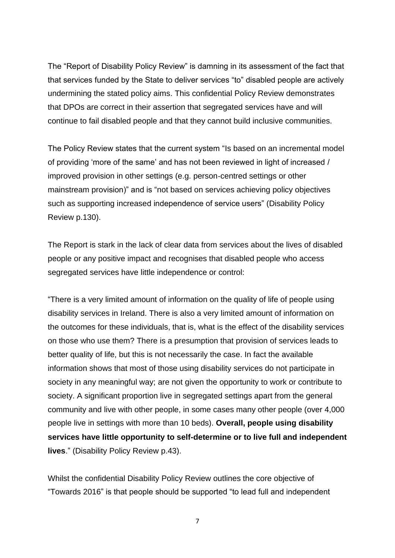The "Report of Disability Policy Review" is damning in its assessment of the fact that that services funded by the State to deliver services "to" disabled people are actively undermining the stated policy aims. This confidential Policy Review demonstrates that DPOs are correct in their assertion that segregated services have and will continue to fail disabled people and that they cannot build inclusive communities.

The Policy Review states that the current system "Is based on an incremental model of providing 'more of the same' and has not been reviewed in light of increased / improved provision in other settings (e.g. person‐centred settings or other mainstream provision)" and is "not based on services achieving policy objectives such as supporting increased independence of service users" (Disability Policy Review p.130).

The Report is stark in the lack of clear data from services about the lives of disabled people or any positive impact and recognises that disabled people who access segregated services have little independence or control:

"There is a very limited amount of information on the quality of life of people using disability services in Ireland. There is also a very limited amount of information on the outcomes for these individuals, that is, what is the effect of the disability services on those who use them? There is a presumption that provision of services leads to better quality of life, but this is not necessarily the case. In fact the available information shows that most of those using disability services do not participate in society in any meaningful way; are not given the opportunity to work or contribute to society. A significant proportion live in segregated settings apart from the general community and live with other people, in some cases many other people (over 4,000 people live in settings with more than 10 beds). **Overall, people using disability services have little opportunity to self**‐**determine or to live full and independent lives**." (Disability Policy Review p.43).

Whilst the confidential Disability Policy Review outlines the core objective of "Towards 2016" is that people should be supported "to lead full and independent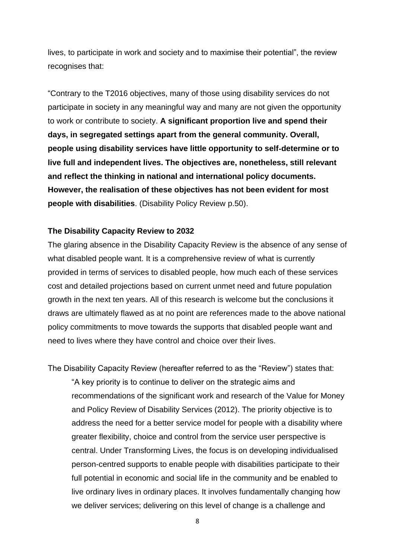lives, to participate in work and society and to maximise their potential", the review recognises that:

"Contrary to the T2016 objectives, many of those using disability services do not participate in society in any meaningful way and many are not given the opportunity to work or contribute to society. **A significant proportion live and spend their days, in segregated settings apart from the general community. Overall, people using disability services have little opportunity to self**‐**determine or to live full and independent lives. The objectives are, nonetheless, still relevant and reflect the thinking in national and international policy documents. However, the realisation of these objectives has not been evident for most people with disabilities**. (Disability Policy Review p.50).

#### **The Disability Capacity Review to 2032**

The glaring absence in the Disability Capacity Review is the absence of any sense of what disabled people want. It is a comprehensive review of what is currently provided in terms of services to disabled people, how much each of these services cost and detailed projections based on current unmet need and future population growth in the next ten years. All of this research is welcome but the conclusions it draws are ultimately flawed as at no point are references made to the above national policy commitments to move towards the supports that disabled people want and need to lives where they have control and choice over their lives.

The Disability Capacity Review (hereafter referred to as the "Review") states that: "A key priority is to continue to deliver on the strategic aims and recommendations of the significant work and research of the Value for Money and Policy Review of Disability Services (2012). The priority objective is to address the need for a better service model for people with a disability where greater flexibility, choice and control from the service user perspective is central. Under Transforming Lives, the focus is on developing individualised person-centred supports to enable people with disabilities participate to their full potential in economic and social life in the community and be enabled to live ordinary lives in ordinary places. It involves fundamentally changing how we deliver services; delivering on this level of change is a challenge and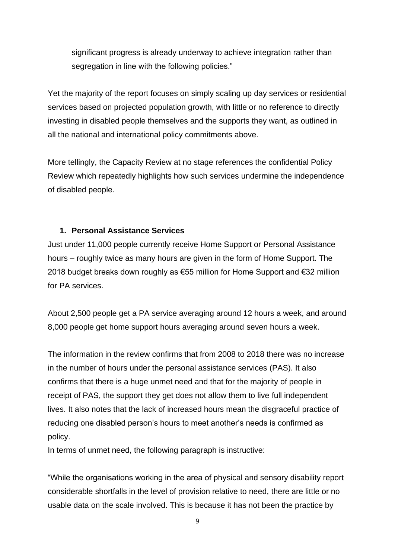significant progress is already underway to achieve integration rather than segregation in line with the following policies."

Yet the majority of the report focuses on simply scaling up day services or residential services based on projected population growth, with little or no reference to directly investing in disabled people themselves and the supports they want, as outlined in all the national and international policy commitments above.

More tellingly, the Capacity Review at no stage references the confidential Policy Review which repeatedly highlights how such services undermine the independence of disabled people.

### **1. Personal Assistance Services**

Just under 11,000 people currently receive Home Support or Personal Assistance hours – roughly twice as many hours are given in the form of Home Support. The 2018 budget breaks down roughly as €55 million for Home Support and €32 million for PA services.

About 2,500 people get a PA service averaging around 12 hours a week, and around 8,000 people get home support hours averaging around seven hours a week.

The information in the review confirms that from 2008 to 2018 there was no increase in the number of hours under the personal assistance services (PAS). It also confirms that there is a huge unmet need and that for the majority of people in receipt of PAS, the support they get does not allow them to live full independent lives. It also notes that the lack of increased hours mean the disgraceful practice of reducing one disabled person's hours to meet another's needs is confirmed as policy.

In terms of unmet need, the following paragraph is instructive:

"While the organisations working in the area of physical and sensory disability report considerable shortfalls in the level of provision relative to need, there are little or no usable data on the scale involved. This is because it has not been the practice by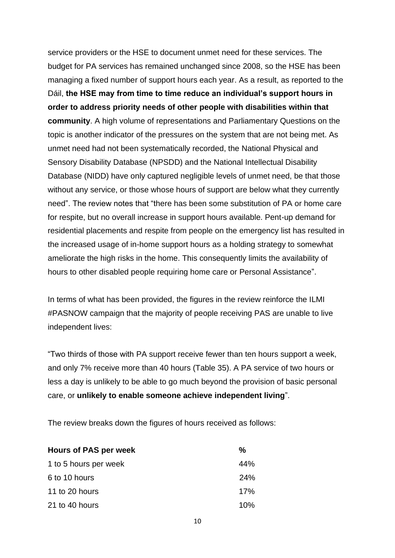service providers or the HSE to document unmet need for these services. The budget for PA services has remained unchanged since 2008, so the HSE has been managing a fixed number of support hours each year. As a result, as reported to the Dáil, **the HSE may from time to time reduce an individual's support hours in order to address priority needs of other people with disabilities within that community**. A high volume of representations and Parliamentary Questions on the topic is another indicator of the pressures on the system that are not being met. As unmet need had not been systematically recorded, the National Physical and Sensory Disability Database (NPSDD) and the National Intellectual Disability Database (NIDD) have only captured negligible levels of unmet need, be that those without any service, or those whose hours of support are below what they currently need". The review notes that "there has been some substitution of PA or home care for respite, but no overall increase in support hours available. Pent-up demand for residential placements and respite from people on the emergency list has resulted in the increased usage of in-home support hours as a holding strategy to somewhat ameliorate the high risks in the home. This consequently limits the availability of hours to other disabled people requiring home care or Personal Assistance".

In terms of what has been provided, the figures in the review reinforce the ILMI #PASNOW campaign that the majority of people receiving PAS are unable to live independent lives:

"Two thirds of those with PA support receive fewer than ten hours support a week, and only 7% receive more than 40 hours (Table 35). A PA service of two hours or less a day is unlikely to be able to go much beyond the provision of basic personal care, or **unlikely to enable someone achieve independent living**".

The review breaks down the figures of hours received as follows:

| <b>Hours of PAS per week</b> | %   |
|------------------------------|-----|
| 1 to 5 hours per week        | 44% |
| 6 to 10 hours                | 24% |
| 11 to 20 hours               | 17% |
| 21 to 40 hours               | 10% |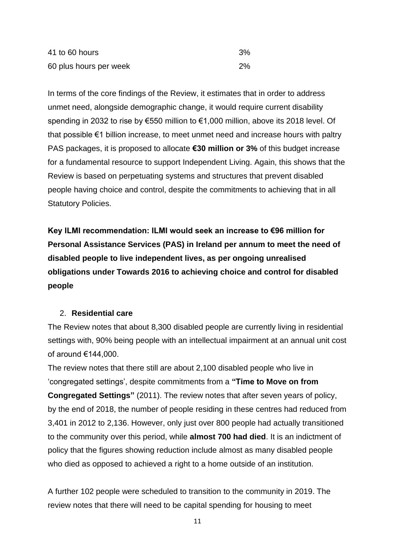| 41 to 60 hours         | 3% |
|------------------------|----|
| 60 plus hours per week | 2% |

In terms of the core findings of the Review, it estimates that in order to address unmet need, alongside demographic change, it would require current disability spending in 2032 to rise by €550 million to €1,000 million, above its 2018 level. Of that possible €1 billion increase, to meet unmet need and increase hours with paltry PAS packages, it is proposed to allocate **€30 million or 3%** of this budget increase for a fundamental resource to support Independent Living. Again, this shows that the Review is based on perpetuating systems and structures that prevent disabled people having choice and control, despite the commitments to achieving that in all Statutory Policies.

**Key ILMI recommendation: ILMI would seek an increase to €96 million for Personal Assistance Services (PAS) in Ireland per annum to meet the need of disabled people to live independent lives, as per ongoing unrealised obligations under Towards 2016 to achieving choice and control for disabled people**

### 2. **Residential care**

The Review notes that about 8,300 disabled people are currently living in residential settings with, 90% being people with an intellectual impairment at an annual unit cost of around €144,000.

The review notes that there still are about 2,100 disabled people who live in 'congregated settings', despite commitments from a **"Time to Move on from Congregated Settings"** (2011). The review notes that after seven years of policy, by the end of 2018, the number of people residing in these centres had reduced from 3,401 in 2012 to 2,136. However, only just over 800 people had actually transitioned to the community over this period, while **almost 700 had died**. It is an indictment of policy that the figures showing reduction include almost as many disabled people who died as opposed to achieved a right to a home outside of an institution.

A further 102 people were scheduled to transition to the community in 2019. The review notes that there will need to be capital spending for housing to meet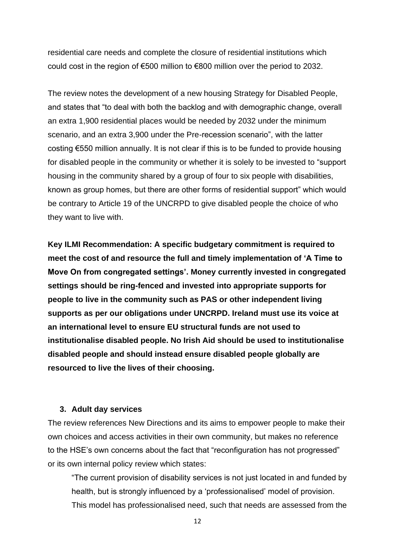residential care needs and complete the closure of residential institutions which could cost in the region of €500 million to €800 million over the period to 2032.

The review notes the development of a new housing Strategy for Disabled People, and states that "to deal with both the backlog and with demographic change, overall an extra 1,900 residential places would be needed by 2032 under the minimum scenario, and an extra 3,900 under the Pre-recession scenario", with the latter costing €550 million annually. It is not clear if this is to be funded to provide housing for disabled people in the community or whether it is solely to be invested to "support housing in the community shared by a group of four to six people with disabilities, known as group homes, but there are other forms of residential support" which would be contrary to Article 19 of the UNCRPD to give disabled people the choice of who they want to live with.

**Key ILMI Recommendation: A specific budgetary commitment is required to meet the cost of and resource the full and timely implementation of 'A Time to Move On from congregated settings'. Money currently invested in congregated settings should be ring-fenced and invested into appropriate supports for people to live in the community such as PAS or other independent living supports as per our obligations under UNCRPD. Ireland must use its voice at an international level to ensure EU structural funds are not used to institutionalise disabled people. No Irish Aid should be used to institutionalise disabled people and should instead ensure disabled people globally are resourced to live the lives of their choosing.** 

### **3. Adult day services**

The review references New Directions and its aims to empower people to make their own choices and access activities in their own community, but makes no reference to the HSE's own concerns about the fact that "reconfiguration has not progressed" or its own internal policy review which states:

"The current provision of disability services is not just located in and funded by health, but is strongly influenced by a 'professionalised' model of provision. This model has professionalised need, such that needs are assessed from the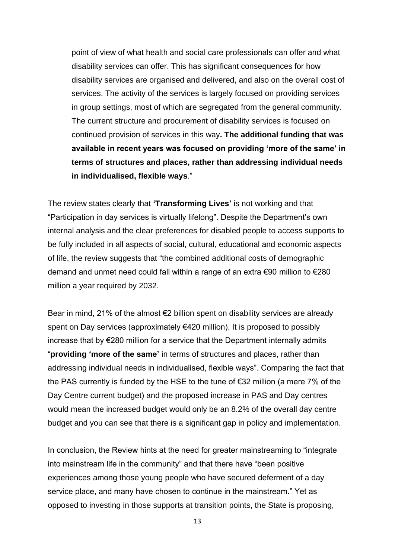point of view of what health and social care professionals can offer and what disability services can offer. This has significant consequences for how disability services are organised and delivered, and also on the overall cost of services. The activity of the services is largely focused on providing services in group settings, most of which are segregated from the general community. The current structure and procurement of disability services is focused on continued provision of services in this way**. The additional funding that was available in recent years was focused on providing 'more of the same' in terms of structures and places, rather than addressing individual needs in individualised, flexible ways**."

The review states clearly that **'Transforming Lives'** is not working and that "Participation in day services is virtually lifelong". Despite the Department's own internal analysis and the clear preferences for disabled people to access supports to be fully included in all aspects of social, cultural, educational and economic aspects of life, the review suggests that "the combined additional costs of demographic demand and unmet need could fall within a range of an extra €90 million to €280 million a year required by 2032.

Bear in mind, 21% of the almost  $\epsilon$ 2 billion spent on disability services are already spent on Day services (approximately €420 million). It is proposed to possibly increase that by €280 million for a service that the Department internally admits "**providing 'more of the same'** in terms of structures and places, rather than addressing individual needs in individualised, flexible ways". Comparing the fact that the PAS currently is funded by the HSE to the tune of €32 million (a mere 7% of the Day Centre current budget) and the proposed increase in PAS and Day centres would mean the increased budget would only be an 8.2% of the overall day centre budget and you can see that there is a significant gap in policy and implementation.

In conclusion, the Review hints at the need for greater mainstreaming to "integrate into mainstream life in the community" and that there have "been positive experiences among those young people who have secured deferment of a day service place, and many have chosen to continue in the mainstream." Yet as opposed to investing in those supports at transition points, the State is proposing,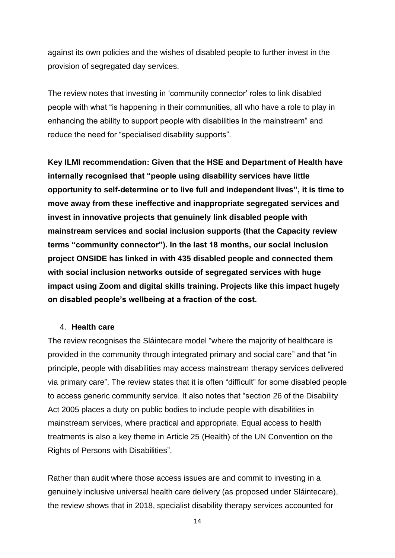against its own policies and the wishes of disabled people to further invest in the provision of segregated day services.

The review notes that investing in 'community connector' roles to link disabled people with what "is happening in their communities, all who have a role to play in enhancing the ability to support people with disabilities in the mainstream" and reduce the need for "specialised disability supports".

**Key ILMI recommendation: Given that the HSE and Department of Health have internally recognised that "people using disability services have little opportunity to self**‐**determine or to live full and independent lives", it is time to move away from these ineffective and inappropriate segregated services and invest in innovative projects that genuinely link disabled people with mainstream services and social inclusion supports (that the Capacity review terms "community connector"). In the last 18 months, our social inclusion project ONSIDE has linked in with 435 disabled people and connected them with social inclusion networks outside of segregated services with huge impact using Zoom and digital skills training. Projects like this impact hugely on disabled people's wellbeing at a fraction of the cost.** 

#### 4. **Health care**

The review recognises the Sláintecare model "where the majority of healthcare is provided in the community through integrated primary and social care" and that "in principle, people with disabilities may access mainstream therapy services delivered via primary care". The review states that it is often "difficult" for some disabled people to access generic community service. It also notes that "section 26 of the Disability Act 2005 places a duty on public bodies to include people with disabilities in mainstream services, where practical and appropriate. Equal access to health treatments is also a key theme in Article 25 (Health) of the UN Convention on the Rights of Persons with Disabilities".

Rather than audit where those access issues are and commit to investing in a genuinely inclusive universal health care delivery (as proposed under Sláintecare), the review shows that in 2018, specialist disability therapy services accounted for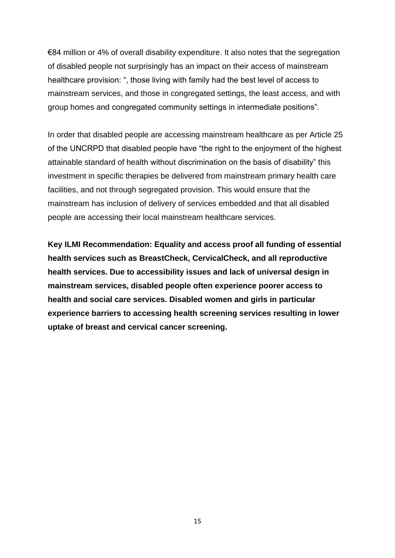€84 million or 4% of overall disability expenditure. It also notes that the segregation of disabled people not surprisingly has an impact on their access of mainstream healthcare provision: ", those living with family had the best level of access to mainstream services, and those in congregated settings, the least access, and with group homes and congregated community settings in intermediate positions".

In order that disabled people are accessing mainstream healthcare as per Article 25 of the UNCRPD that disabled people have "the right to the enjoyment of the highest attainable standard of health without discrimination on the basis of disability" this investment in specific therapies be delivered from mainstream primary health care facilities, and not through segregated provision. This would ensure that the mainstream has inclusion of delivery of services embedded and that all disabled people are accessing their local mainstream healthcare services.

**Key ILMI Recommendation: Equality and access proof all funding of essential health services such as BreastCheck, CervicalCheck, and all reproductive health services. Due to accessibility issues and lack of universal design in mainstream services, disabled people often experience poorer access to health and social care services. Disabled women and girls in particular experience barriers to accessing health screening services resulting in lower uptake of breast and cervical cancer screening.**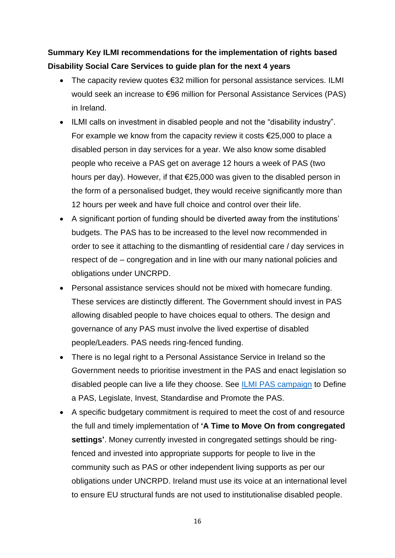# **Summary Key ILMI recommendations for the implementation of rights based Disability Social Care Services to guide plan for the next 4 years**

- The capacity review quotes €32 million for personal assistance services. ILMI would seek an increase to €96 million for Personal Assistance Services (PAS) in Ireland.
- ILMI calls on investment in disabled people and not the "disability industry". For example we know from the capacity review it costs €25,000 to place a disabled person in day services for a year. We also know some disabled people who receive a PAS get on average 12 hours a week of PAS (two hours per day). However, if that €25,000 was given to the disabled person in the form of a personalised budget, they would receive significantly more than 12 hours per week and have full choice and control over their life.
- A significant portion of funding should be diverted away from the institutions' budgets. The PAS has to be increased to the level now recommended in order to see it attaching to the dismantling of residential care / day services in respect of de – congregation and in line with our many national policies and obligations under UNCRPD.
- Personal assistance services should not be mixed with homecare funding. These services are distinctly different. The Government should invest in PAS allowing disabled people to have choices equal to others. The design and governance of any PAS must involve the lived expertise of disabled people/Leaders. PAS needs ring-fenced funding.
- There is no legal right to a Personal Assistance Service in Ireland so the Government needs to prioritise investment in the PAS and enact legislation so disabled people can live a life they choose. See [ILMI PAS campaign](https://ilmi.ie/wp-content/uploads/2018/10/ILMI-Personal-Assistance-Campaign-Leaflet-min.pdf) to Define a PAS, Legislate, Invest, Standardise and Promote the PAS.
- A specific budgetary commitment is required to meet the cost of and resource the full and timely implementation of **'A Time to Move On from congregated settings'**. Money currently invested in congregated settings should be ringfenced and invested into appropriate supports for people to live in the community such as PAS or other independent living supports as per our obligations under UNCRPD. Ireland must use its voice at an international level to ensure EU structural funds are not used to institutionalise disabled people.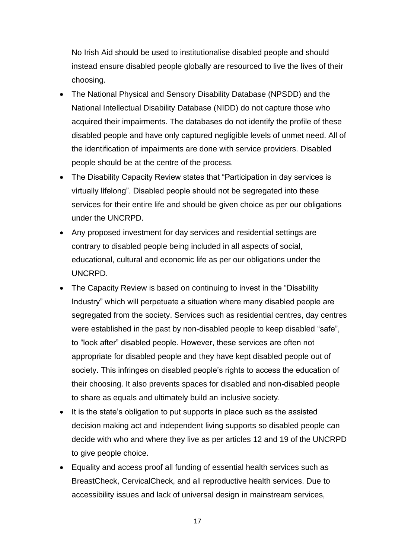No Irish Aid should be used to institutionalise disabled people and should instead ensure disabled people globally are resourced to live the lives of their choosing.

- The National Physical and Sensory Disability Database (NPSDD) and the National Intellectual Disability Database (NIDD) do not capture those who acquired their impairments. The databases do not identify the profile of these disabled people and have only captured negligible levels of unmet need. All of the identification of impairments are done with service providers. Disabled people should be at the centre of the process.
- The Disability Capacity Review states that "Participation in day services is virtually lifelong". Disabled people should not be segregated into these services for their entire life and should be given choice as per our obligations under the UNCRPD.
- Any proposed investment for day services and residential settings are contrary to disabled people being included in all aspects of social, educational, cultural and economic life as per our obligations under the UNCRPD.
- The Capacity Review is based on continuing to invest in the "Disability" Industry" which will perpetuate a situation where many disabled people are segregated from the society. Services such as residential centres, day centres were established in the past by non-disabled people to keep disabled "safe", to "look after" disabled people. However, these services are often not appropriate for disabled people and they have kept disabled people out of society. This infringes on disabled people's rights to access the education of their choosing. It also prevents spaces for disabled and non-disabled people to share as equals and ultimately build an inclusive society.
- It is the state's obligation to put supports in place such as the assisted decision making act and independent living supports so disabled people can decide with who and where they live as per articles 12 and 19 of the UNCRPD to give people choice.
- Equality and access proof all funding of essential health services such as BreastCheck, CervicalCheck, and all reproductive health services. Due to accessibility issues and lack of universal design in mainstream services,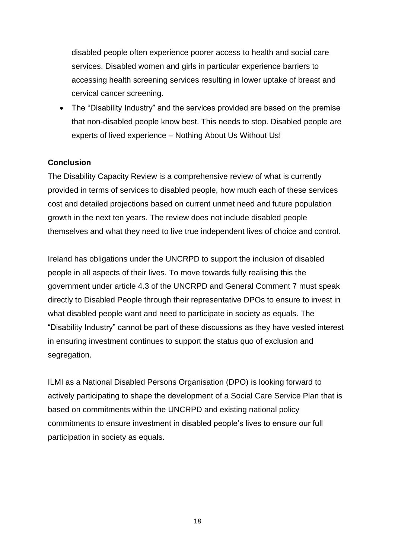disabled people often experience poorer access to health and social care services. Disabled women and girls in particular experience barriers to accessing health screening services resulting in lower uptake of breast and cervical cancer screening.

• The "Disability Industry" and the services provided are based on the premise that non-disabled people know best. This needs to stop. Disabled people are experts of lived experience – Nothing About Us Without Us!

## **Conclusion**

The Disability Capacity Review is a comprehensive review of what is currently provided in terms of services to disabled people, how much each of these services cost and detailed projections based on current unmet need and future population growth in the next ten years. The review does not include disabled people themselves and what they need to live true independent lives of choice and control.

Ireland has obligations under the UNCRPD to support the inclusion of disabled people in all aspects of their lives. To move towards fully realising this the government under article 4.3 of the UNCRPD and General Comment 7 must speak directly to Disabled People through their representative DPOs to ensure to invest in what disabled people want and need to participate in society as equals. The "Disability Industry" cannot be part of these discussions as they have vested interest in ensuring investment continues to support the status quo of exclusion and segregation.

ILMI as a National Disabled Persons Organisation (DPO) is looking forward to actively participating to shape the development of a Social Care Service Plan that is based on commitments within the UNCRPD and existing national policy commitments to ensure investment in disabled people's lives to ensure our full participation in society as equals.